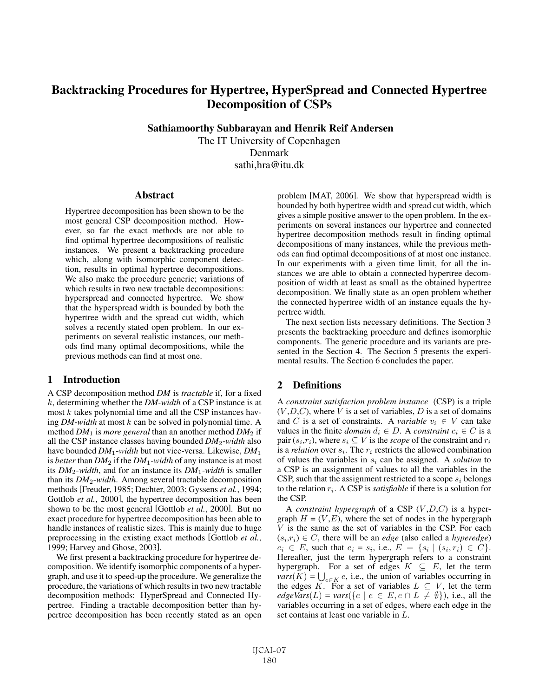# Backtracking Procedures for Hypertree, HyperSpread and Connected Hypertree Decomposition of CSPs

Sathiamoorthy Subbarayan and Henrik Reif Andersen

The IT University of Copenhagen Denmark sathi,hra@itu.dk

#### **Abstract**

Hypertree decomposition has been shown to be the most general CSP decomposition method. However, so far the exact methods are not able to find optimal hypertree decompositions of realistic instances. We present a backtracking procedure which, along with isomorphic component detection, results in optimal hypertree decompositions. We also make the procedure generic; variations of which results in two new tractable decompositions: hyperspread and connected hypertree. We show that the hyperspread width is bounded by both the hypertree width and the spread cut width, which solves a recently stated open problem. In our experiments on several realistic instances, our methods find many optimal decompositions, while the previous methods can find at most one.

### 1 Introduction

A CSP decomposition method *DM* is *tractable* if, for a fixed k, determining whether the *DM-width* of a CSP instance is at most  $k$  takes polynomial time and all the CSP instances having *DM-width* at most k can be solved in polynomial time. A method  $DM_1$  is *more general* than an another method  $DM_2$  if all the CSP instance classes having bounded *DM*2-*width* also have bounded *DM*1-*width* but not vice-versa. Likewise, *DM*<sup>1</sup> is *better* than  $DM_2$  if the  $DM_1$ -width of any instance is at most its *DM*2-*width*, and for an instance its *DM*1-*width* is smaller than its *DM*2-*width*. Among several tractable decomposition methods [Freuder, 1985; Dechter, 2003; Gyssens *et al.*, 1994; Gottlob *et al.*, 2000], the hypertree decomposition has been shown to be the most general [Gottlob *et al.*, 2000]. But no exact procedure for hypertree decomposition has been able to handle instances of realistic sizes. This is mainly due to huge preprocessing in the existing exact methods [Gottlob *et al.*, 1999; Harvey and Ghose, 2003].

We first present a backtracking procedure for hypertree decomposition. We identify isomorphic components of a hypergraph, and use it to speed-up the procedure. We generalize the procedure, the variations of which results in two new tractable decomposition methods: HyperSpread and Connected Hypertree. Finding a tractable decomposition better than hypertree decomposition has been recently stated as an open problem [MAT, 2006]. We show that hyperspread width is bounded by both hypertree width and spread cut width, which gives a simple positive answer to the open problem. In the experiments on several instances our hypertree and connected hypertree decomposition methods result in finding optimal decompositions of many instances, while the previous methods can find optimal decompositions of at most one instance. In our experiments with a given time limit, for all the instances we are able to obtain a connected hypertree decomposition of width at least as small as the obtained hypertree decomposition. We finally state as an open problem whether the connected hypertree width of an instance equals the hypertree width.

The next section lists necessary definitions. The Section 3 presents the backtracking procedure and defines isomorphic components. The generic procedure and its variants are presented in the Section 4. The Section 5 presents the experimental results. The Section 6 concludes the paper.

## 2 Definitions

A *constraint satisfaction problem instance* (CSP) is a triple  $(V, D, C)$ , where V is a set of variables, D is a set of domains and C is a set of constraints. A *variable*  $v_i \in V$  can take values in the finite *domain*  $d_i \in D$ . A *constraint*  $c_i \in C$  is a pair  $(s_i,r_i)$ , where  $s_i \subseteq V$  is the *scope* of the constraint and  $r_i$ is a *relation* over  $s_i$ . The  $r_i$  restricts the allowed combination of values the variables in  $s_i$  can be assigned. A *solution* to a CSP is an assignment of values to all the variables in the CSP, such that the assignment restricted to a scope  $s_i$  belongs to the relation  $r_i$ . A CSP is *satisfiable* if there is a solution for the CSP.

A *constraint hypergraph* of a CSP (V ,D,C) is a hypergraph  $H = (V, E)$ , where the set of nodes in the hypergraph  $V$  is the same as the set of variables in the CSP. For each  $(s<sub>i</sub>,r<sub>i</sub>) \in C$ , there will be an *edge* (also called a *hyperedge*)  $e_i \in E$ , such that  $e_i = s_i$ , i.e.,  $E = \{s_i \mid (s_i, r_i) \in C\}$ . Hereafter, just the term hypergraph refers to a constraint hypergraph. For a set of edges  $K \subseteq E$ , let the term  $vars(K) = \bigcup_{e \in K} e$ , i.e., the union of variables occurring in the edges K. For a set of variables  $L \subseteq V$ , let the term  $edgeVars(L) = vars({e | e \in E, e \cap L \neq \emptyset}),$  i.e., all the variables occurring in a set of edges, where each edge in the set contains at least one variable in L.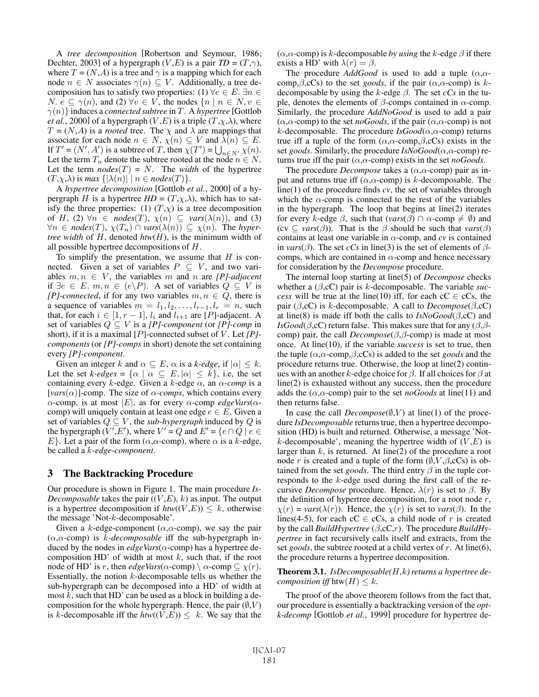A *tree decomposition* [Robertson and Seymour, 1986; Dechter, 2003] of a hypergraph  $(V, E)$  is a pair  $TD = (T, \gamma)$ , where  $T = (N, A)$  is a tree and  $\gamma$  is a mapping which for each node  $n \in N$  associates  $\gamma(n) \subseteq V$ . Additionally, a tree decomposition has to satisfy two properties: (1)  $\forall e \in E$ .  $\exists n \in$ N.  $e \subseteq \gamma(n)$ , and  $(2) \forall v \in V$ , the nodes  $\{n \mid n \in N, v \in V\}$  $\gamma(n)$  induces a *connected subtree* in T. A *hypertree* [Gottlob] *et al.*, 2000] of a hypergraph  $(V, E)$  is a triple  $(T, \chi, \lambda)$ , where  $T = (N, A)$  is a *rooted* tree. The  $\chi$  and  $\lambda$  are mappings that associate for each node  $n \in N$ ,  $\chi(n) \subseteq V$  and  $\lambda(n) \subseteq E$ . If  $T' = (N', A')$  is a subtree of T, then  $\overline{\chi}(T') = \bigcup_{n \in N'} \overline{\chi}(n)$ . Let the term  $T_n$  denote the subtree rooted at the node  $n \in N$ . Let the term  $nodes(T) = N$ . The *width* of the hypertree  $(T, \chi, \lambda)$  is *max*  $\{|\lambda(n)| \mid n \in nodes(T)\}.$ 

A *hypertree decomposition* [Gottlob *et al.*, 2000] of a hypergraph *H* is a hypertree  $HD = (T, \chi, \lambda)$ , which has to satisfy the three properties: (1)  $(T,\chi)$  is a tree decomposition of H, (2)  $\forall n \in nodes(T), \chi(n) \subseteq vars(\lambda(n))$ , and (3)  $\forall n \in nodes(T), \chi(T_n) \cap vars(\lambda(n)) \subseteq \chi(n)$ . The *hypertree width* of H, denoted *htw*(H), is the minimum width of all possible hypertree decompositions of H.

To simplify the presentation, we assume that  $H$  is connected. Given a set of variables  $P \subseteq V$ , and two variables  $m, n \in V$ , the variables m and n are *[P]-adjacent* if  $∃e ∈ E. m, n ∈ (e\P P)$ . A set of variables  $Q ⊆ V$  is *[P]-connected*, if for any two variables  $m, n \in Q$ , there is a sequence of variables  $m = l_1, l_2, \ldots, l_{r-1}, l_r = n$ , such that, for each  $i \in [1, r - 1]$ ,  $l_i$  and  $l_{i+1}$  are [P]-adjacent. A set of variables  $Q \subseteq V$  is a *[P]-component* (or *[P]-comp* in short), if it is a maximal [P]-connected subset of V. Let [P]*components* (or *[P]-comps* in short) denote the set containing every *[P]-component*.

Given an integer k and  $\alpha \subseteq E$ ,  $\alpha$  is a k-edge, if  $|\alpha| \leq k$ . Let the set *k-edges* =  $\{\alpha \mid \alpha \subseteq E, |\alpha| \leq k\}$ , i.e, the set containing every k-edge. Given a k-edge  $\alpha$ , an  $\alpha$ -comp is a [ $vars(\alpha)$ ]-comp. The size of  $\alpha$ -comps, which contains every  $\alpha$ -comp, is at most |E|, as for every  $\alpha$ -comp *edgeVars*( $\alpha$ comp) will uniquely contain at least one edge  $e \in E$ . Given a set of variables  $Q \subseteq V$ , the *sub-hypergraph* induced by  $Q$  is the hypergraph  $(\overline{V'},{\overline{E}}')$ , where  $\overline{V'} = Q$  and  $E' = \{e \cap Q \mid e \in$ E}. Let a pair of the form  $(\alpha, \alpha$ -comp), where  $\alpha$  is a k-edge, be called a k*-edge-component*.

#### 3 The Backtracking Procedure

Our procedure is shown in Figure 1. The main procedure *Is-Decomposable* takes the pair  $((V, E), k)$  as input. The output is a hypertree decomposition if  $htw((V,E)) \leq k$ , otherwise the message 'Not-k-decomposable'.

Given a k-edge-component ( $\alpha$ , $\alpha$ -comp), we say the pair (α,α-comp) is k*-decomposable* iff the sub-hypergraph induced by the nodes in  $edgeVars(\alpha$ -comp) has a hypertree decomposition HD' of width at most  $k$ , such that, if the root node of HD' is r, then  $edgeVars(\alpha\text{-comp}) \setminus \alpha\text{-comp} \subseteq \chi(r)$ . Essentially, the notion  $k$ -decomposable tells us whether the sub-hypergraph can be decomposed into a HD' of width at most  $k$ , such that HD' can be used as a block in building a decomposition for the whole hypergraph. Hence, the pair  $(\emptyset, V)$ is k-decomposable iff the  $htw((V,E)) \leq k$ . We say that the ( $\alpha$ , $\alpha$ -comp) is k-decomposable *by using* the k-edge  $\beta$  if there exists a HD' with  $\lambda(r) = \beta$ .

The procedure *AddGood* is used to add a tuple  $(\alpha, \alpha$ comp,  $\beta$ , cCs) to the set *goods*, if the pair  $(\alpha, \alpha$ -comp) is kdecomposable by using the k-edge  $\beta$ . The set  $cCs$  in the tuple, denotes the elements of  $β$ -comps contained in  $α$ -comp. Similarly, the procedure *AddNoGood* is used to add a pair  $(\alpha, \alpha$ -comp) to the set *noGoods*, if the pair  $(\alpha, \alpha$ -comp) is not k-decomposable. The procedure  $IsGood(\alpha,\alpha\text{-comp})$  returns true iff a tuple of the form  $(\alpha, \alpha$ -comp, $\beta$ ,cCs) exists in the set *goods*. Similarly, the procedure *IsNoGood*(α,α-comp) returns true iff the pair  $(\alpha, \alpha$ -comp) exists in the set *noGoods*.

The procedure *Decompose* takes a  $(\alpha, \alpha$ -comp) pair as input and returns true iff  $(\alpha, \alpha$ -comp) is k-decomposable. The line(1) of the procedure finds *cv*, the set of variables through which the  $\alpha$ -comp is connected to the rest of the variables in the hypergraph. The loop that begins at line(2) iterates for every k-edge  $\beta$ , such that ( $vars(\beta) \cap \alpha$ -comp  $\neq \emptyset$ ) and (cv  $\subseteq \text{vars}(\beta)$ ). That is the  $\beta$  should be such that  $\text{vars}(\beta)$ contains at least one variable in α-comp, and *cv* is contained in *vars*( $\beta$ ). The set *cCs* in line(3) is the set of elements of  $\beta$ comps, which are contained in  $\alpha$ -comp and hence necessary for consideration by the *Decompose* procedure.

The internal loop starting at line(5) of *Decompose* checks whether a  $(\beta, cC)$  pair is k-decomposable. The variable *success* will be true at the line(10) iff, for each  $cC \in cCs$ , the pair ( $\beta$ ,cC) is k-decomposable. A call to *Decompose*( $\beta$ ,cC) at line(8) is made iff both the calls to  $IsNoGood(\beta, cC)$  and *IsGood*( $\beta$ ,cC) return false. This makes sure that for any  $(\beta, \beta - \beta)$ comp) pair, the call  $Decompose(\beta, \beta$ -comp) is made at most once. At line(10), if the variable *success* is set to true, then the tuple (α,α-comp,β,cCs) is added to the set *goods* and the procedure returns true. Otherwise, the loop at line(2) continues with an another k-edge choice for  $\beta$ . If all choices for  $\beta$  at line(2) is exhausted without any success, then the procedure adds the  $(\alpha, \alpha$ -comp) pair to the set *noGoods* at line(11) and then returns false.

In case the call  $Decompose(\emptyset, V)$  at line(1) of the procedure *IsDecomposable* returns true, then a hypertree decomposition (HD) is built and returned. Otherwise, a message 'Notk-decomposable', meaning the hypertree width of  $(V,E)$  is larger than  $k$ , is returned. At line(2) of the procedure a root node r is created and a tuple of the form  $(\emptyset, V, \beta, cCs)$  is obtained from the set *goods*. The third entry  $\beta$  in the tuple corresponds to the k-edge used during the first call of the recursive *Decompose* procedure. Hence,  $\lambda(r)$  is set to  $\beta$ . By the definition of hypertree decomposition, for a root node  $r$ ,  $\chi(r) = \text{vars}(\lambda(r))$ . Hence, the  $\chi(r)$  is set to *vars*( $\beta$ ). In the lines(4-5), for each cC  $\in$  cCs, a child node of r is created by the call *BuildHypertree* (β,cC,r). The procedure *BuildHypertree* in fact recursively calls itself and extracts, from the set *goods*, the subtree rooted at a child vertex of r. At line(6), the procedure returns a hypertree decomposition.

#### Theorem 3.1. *IsDecomposable(*H*,*k*) returns a hypertree decomposition iff*  $h$ tw $(H) \leq k$ .

The proof of the above theorem follows from the fact that, our procedure is essentially a backtracking version of the *optk-decomp* [Gottlob *et al.*, 1999] procedure for hypertree de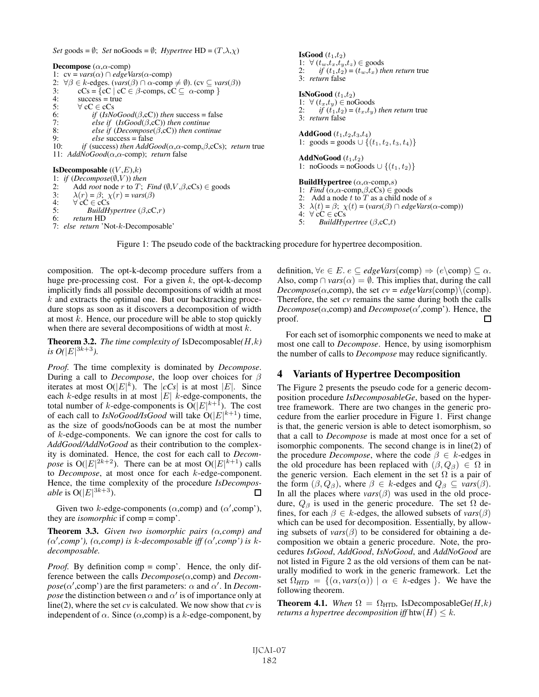*Set* goods =  $\emptyset$ ; *Set* noGoods =  $\emptyset$ ; *Hypertree* HD =  $(T, \lambda, \chi)$ 

Decompose  $(\alpha, \alpha$ -comp) 1:  $cv = vars(\alpha) \cap edgeVars(\alpha\text{-comp})$ 2:  $\forall \beta \in k$ -edges. (*vars*( $\beta$ )  $\cap \alpha$ -comp  $\neq \emptyset$ ). (cv  $\subseteq \text{vars}(\beta)$ )<br>3:  $cCs = \{cC \mid cC \in \beta$ -comps,  $cC \subset \alpha$ -comp } 3:  $cCs = \{cC \mid cC \in \beta\text{-comps}, cC \subseteq \alpha\text{-comp} \}$ <br>4: success = true 4: success = true<br>5:  $\forall$  cC  $\in$  cCs 5:  $\forall$  cC  $\in$  cCs<br>6:  $if$  (IsNe 6: *if*  $(IsNoGood(\beta, cC))$  *then* success = false<br>7: *else if*  $(IsGood(\beta, cC))$  *then continue* 7: *else if* (*IsGood*(β,cC)) *then continue* 8: *else if* (*Decompose*( $\beta$ ,cC)) *then continue*<br>9: *else* success = false 9: *else* success = false<br>10: *if* (success) then AddG 10: *if* (success) *then AddGood*(α,α-comp,β,cCs); *return* true 11: *AddNoGood*(α,α-comp); *return* false IsDecomposable  $((V,E),k)$ 1: *if*  $(Decompose(\emptyset, V))$  *then*<br>2: Add *root* node *r* to *T*: 2: Add *root* node *r* to *T*; *Find* ( $\emptyset$ ,  $V$ ,  $\beta$ ,  $cCs$ )  $\in$  goods<br>3:  $\lambda(r) = \beta$ ;  $\chi(r) = \text{vars}(\beta)$ 3:  $\lambda(r) = \beta$ ;  $\chi(r) = vars(\beta)$ <br>4:  $\forall c \in cCs$ 

 $\forall c \in c \in c \infty$ 

5: *BuildHypertree* (β,cC,r) 6: *return* HD

7: *else return* 'Not-k-Decomposable'

**IsGood**  $(t_1,t_2)$ 1:  $\forall (t_w,t_x,t_y,t_z) \in \text{goods}$ <br>2: if  $(t_1,t_2) = (t_w,t_w)$  th *if*  $(t_1,t_2) = (t_w,t_x)$  *then return* true 3: *return* false IsNoGood  $(t_1,t_2)$ 1:  $\forall (t_x, t_y) \in \text{noGoods}$ <br>2:  $\text{if } (t_1, t_2) = (t_1, t_2)$ *if*  $(t_1,t_2) = (t_x,t_y)$  *then return* true 3: *return* false AddGood  $(t_1,t_2,t_3,t_4)$ 1: goods = goods  $\cup$  { $(t_1, t_2, t_3, t_4)$ } AddNoGood  $(t_1,t_2)$ 1: noGoods = noGoods  $\cup$  { $(t_1, t_2)$ } **BuildHypertree**  $(\alpha, \alpha$ -comp,s) 1: *Find* ( $\alpha, \alpha$ -comp, $\beta$ ,cCs)  $\in$  goods<br>2: Add a node *t* to *T* as a child nod Add a node  $t$  to  $T$  as a child node of  $s$ 3:  $\lambda(t) = \beta$ ;  $\chi(t) = (vars(\beta) \cap edgeVars(\alpha\text{-comp}))$ 

5: *BuildHypertree* (β,cC,t)

Figure 1: The pseudo code of the backtracking procedure for hypertree decomposition.

4: ∀ cC ∈ cCs<br>5: *BuildHvi* 

composition. The opt-k-decomp procedure suffers from a huge pre-processing cost. For a given  $k$ , the opt-k-decomp implicitly finds all possible decompositions of width at most  $k$  and extracts the optimal one. But our backtracking procedure stops as soon as it discovers a decomposition of width at most  $k$ . Hence, our procedure will be able to stop quickly when there are several decompositions of width at most  $k$ .

Theorem 3.2. *The time complexity of* IsDecomposable*(*H*,*k*) is O*( $|E|^{3k+3}$ ).

*Proof.* The time complexity is dominated by *Decompose*. During a call to *Decompose*, the loop over choices for β iterates at most  $O(|E|^k)$ . The  $|cCs|$  is at most  $|E|$ . Since each  $k$ -edge results in at most  $|E|$  k-edge-components, the total number of *k*-edge-components is  $O(|E|^{k+1})$ . The cost of each call to *IsNoGood/IsGood* will take  $O(|E|^{k+1})$  time, as the size of goods/noGoods can be at most the number of k-edge-components. We can ignore the cost for calls to *AddGood/AddNoGood* as their contribution to the complexity is dominated. Hence, the cost for each call to *Decompose* is  $O(|E|^{2k+2})$ . There can be at most  $O(|E|^{k+1})$  calls to *Decompose*, at most once for each k-edge-component. Hence, the time complexity of the procedure *IsDecomposable* is  $O(|E|^{3k+3})$ .  $\Box$ 

Given two k-edge-components ( $\alpha$ ,comp) and ( $\alpha'$ ,comp'), they are *isomorphic* if comp = comp'.

Theorem 3.3. *Given two isomorphic pairs (*α*,comp) and (*α *,comp'), (*α*,comp) is* k*-decomposable iff (*α *,comp') is* k*decomposable.*

*Proof.* By definition comp = comp'. Hence, the only difference between the calls *Decompose*(α,comp) and *Decom* $pose(\alpha', comp')$  are the first parameters:  $\alpha$  and  $\alpha'$ . In *Decompose* the distinction between  $\alpha$  and  $\alpha'$  is of importance only at line(2), where the set *cv* is calculated. We now show that *cv* is independent of  $\alpha$ . Since ( $\alpha$ ,comp) is a k-edge-component, by definition,  $\forall e \in E$ .  $e \subseteq edgeVars$ (comp)  $\Rightarrow$   $(e \text{comp}) \subseteq \alpha$ . Also, comp  $\cap \text{vars}(\alpha) = \emptyset$ . This implies that, during the call *Decompose*( $\alpha$ ,comp), the set *cv* = *edgeVars*(comp)\(comp). Therefore, the set *cv* remains the same during both the calls  $Decompose(\alpha, \text{comp})$  and  $Decompose(\alpha', \text{comp}')$ . Hence, the proof. П

For each set of isomorphic components we need to make at most one call to *Decompose*. Hence, by using isomorphism the number of calls to *Decompose* may reduce significantly.

### 4 Variants of Hypertree Decomposition

The Figure 2 presents the pseudo code for a generic decomposition procedure *IsDecomposableGe*, based on the hypertree framework. There are two changes in the generic procedure from the earlier procedure in Figure 1. First change is that, the generic version is able to detect isomorphism, so that a call to *Decompose* is made at most once for a set of isomorphic components. The second change is in line(2) of the procedure *Decompose*, where the code  $\beta \in k$ -edges in the old procedure has been replaced with  $(\beta, Q_{\beta}) \in \Omega$  in the generic version. Each element in the set  $\Omega$  is a pair of the form  $(\beta, Q_\beta)$ , where  $\beta \in k$ -edges and  $Q_\beta \subseteq \text{vars}(\beta)$ . In all the places where  $vars(\beta)$  was used in the old procedure,  $Q_\beta$  is used in the generic procedure. The set  $\Omega$  defines, for each  $\beta \in k$ -edges, the allowed subsets of  $vars(\beta)$ which can be used for decomposition. Essentially, by allowing subsets of  $vars(\beta)$  to be considered for obtaining a decomposition we obtain a generic procedure. Note, the procedures *IsGood*, *AddGood*, *IsNoGood*, and *AddNoGood* are not listed in Figure 2 as the old versions of them can be naturally modified to work in the generic framework. Let the set  $\Omega_{HTD} = \{(\alpha, vars(\alpha)) \mid \alpha \in k\text{-edges }\}.$  We have the following theorem.

**Theorem 4.1.** *When*  $\Omega = \Omega_{\text{HTD}}$ , IsDecomposableGe(*H,k*) *returns a hypertree decomposition iff*  $h$ tw $(H) \leq k$ .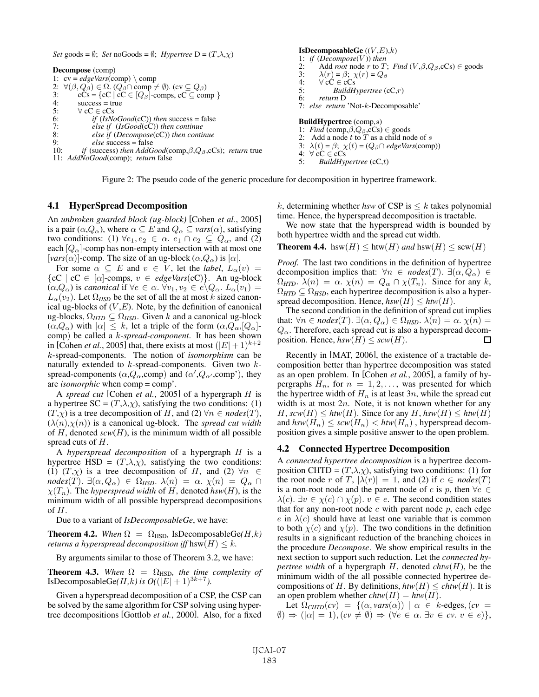*Set* goods =  $\emptyset$ ; *Set* noGoods =  $\emptyset$ ; *Hypertree* D =  $(T, \lambda, \chi)$ 

Decompose (comp) 1:  $cv = edgeVars$ (comp) \ comp 2:  $\forall (\beta, Q_{\beta}) \in \Omega$ .  $(Q_{\beta} \cap \text{comp} \neq \emptyset)$ . (cv  $\subseteq Q_{\beta}$ )<br>3: cCs = {cC | cC  $\in [Q_{\beta}]$ -comps, cC  $\subseteq$  con 3:  $cCs = {cC | cC \in [Q_\beta]\text{-comps, cC \subseteq comp }\}$ <br>4: success = true 4: success = true<br>5:  $\forall$  cC  $\in$  cCs 5:  $\forall$  cC  $\in$  cCs<br>6: *if (IsNe*<br>7: *else if* 6: *if* (*IsNoGood*(cC)) *then* success = false 7: *else if* (*IsGood*(cC)) *then continue* 8: *else if* (*Decompose*(cC)) *then continue* 9: *else* success = false<br>10: *if* (success) then AddG *if* (success) *then AddGood*(comp, $\beta$ , $Q_{\beta}$ ,cCs); *return* true 11: *AddNoGood*(comp); *return* false 4:  $\forall c \in c \in c \infty$ 

#### 1: *if* (*Decompose*( $V$ )) *then*<br>2: Add *root* node  $r$  to  $T$ 2: Add *root* node *r* to *T*; *Find* (*V*, $\beta$ , $Q_{\beta}$ ,cCs)  $\in$  goods<br>3:  $\lambda(r) = \beta$ ;  $\chi(r) = Q_{\beta}$ 3:  $\lambda(r) = \beta$ ;  $\chi(r) = Q_{\beta}$ <br>4:  $\forall$  cC  $\in$  cCs 4:  $\forall c \vec{C} \in c\vec{C}$ s<br>5: BuildH 5: *BuildHypertree* (cC,r) 6: *return* D 7: *else return* 'Not-k-Decomposable' BuildHypertree (comp,s) 1: *Find* (comp,  $\beta$ ,  $Q_{\beta}$ ,  $c$ Cs)  $\in$  goods<br>2. Add a node t to T as a child not Add a node t to T as a child node of s 3:  $\lambda(t) = \beta$ ;  $\chi(t) = (Q_{\beta} \cap edgeVars(\text{comp}))$

5: *BuildHypertree* (cC,t)

IsDecomposableGe  $((V,E),k)$ 

Figure 2: The pseudo code of the generic procedure for decomposition in hypertree framework.

### 4.1 HyperSpread Decomposition

An *unbroken guarded block (ug-block)* [Cohen *et al.*, 2005] is a pair  $(\alpha, Q_\alpha)$ , where  $\alpha \subseteq E$  and  $Q_\alpha \subseteq \text{vars}(\alpha)$ , satisfying two conditions: (1)  $\forall e_1, e_2 \in \alpha$ .  $e_1 \cap e_2 \subseteq Q_\alpha$ , and (2) each  $|Q_{\alpha}|$ -comp has non-empty intersection with at most one [ $vars(\alpha)$ ]-comp. The size of an ug-block ( $\alpha, Q_{\alpha}$ ) is  $|\alpha|$ .

For some  $\alpha \subseteq E$  and  $v \in V$ , let the *label*,  $L_{\alpha}(v)$  =  ${cC \mid cC \in [\alpha]$ -comps,  $v \in edgeVars(cC)}$ . An ug-block  $(\alpha,Q_\alpha)$  is *canonical* if  $\forall e \in \alpha$ .  $\forall v_1, v_2 \in e \backslash Q_\alpha$ .  $L_\alpha(v_1) =$  $L_{\alpha}(v_2)$ . Let  $\Omega_{HSD}$  be the set of all the at most k sized canonical ug-blocks of  $(V, E)$ . Note, by the definition of canonical ug-blocks,  $\Omega_{HTD} \subseteq \Omega_{HSD}$ . Given k and a canonical ug-block  $(\alpha, Q_{\alpha})$  with  $|\alpha| \leq k$ , let a triple of the form  $(\alpha, Q_{\alpha}, [Q_{\alpha}])$ comp) be called a k*-spread-component*. It has been shown in [Cohen *et al.*, 2005] that, there exists at most  $(|E|+1)^{k+2}$ k-spread-components. The notion of *isomorphism* can be naturally extended to  $k$ -spread-components. Given two  $k$ spread-components  $(\alpha, Q_\alpha, \text{comp})$  and  $(\alpha', Q_{\alpha'}, \text{comp'}),$  they are *isomorphic* when comp = comp'.

A *spread cut* [Cohen *et al.*, 2005] of a hypergraph H is a hypertree  $SC = (T, \lambda, \chi)$ , satisfying the two conditions: (1)  $(T, \chi)$  is a tree decomposition of H, and (2)  $\forall n \in nodes(T)$ ,  $(\lambda(n), \chi(n))$  is a canonical ug-block. The *spread cut width* of  $H$ , denoted  $scw(H)$ , is the minimum width of all possible spread cuts of H.

A *hyperspread decomposition* of a hypergraph H is a hypertree HSD =  $(T, \lambda, \chi)$ , satisfying the two conditions: (1)  $(T,\chi)$  is a tree decomposition of H, and (2)  $\forall n \in \mathbb{Z}$  $nodes(T)$ .  $\exists (\alpha, Q_{\alpha}) \in \Omega_{HSD}$ .  $\lambda(n) = \alpha$ .  $\chi(n) = Q_{\alpha} \cap$  $\chi(T_n)$ . The *hyperspread width* of H, denoted *hsw*(H), is the minimum width of all possible hyperspread decompositions of  $H$ .

Due to a variant of *IsDecomposableGe*, we have:

**Theorem 4.2.** *When*  $\Omega = \Omega_{\text{HSD}}$ , IsDecomposableGe(*H,k*) *returns a hyperspread decomposition iff* hsw $(H) \leq k$ .

By arguments similar to those of Theorem 3.2, we have:

**Theorem 4.3.** When  $\Omega = \Omega_{\text{HSD}}$ , the time complexity of IsDecomposableGe $(H, k)$  is  $O((|E| + 1)^{3k+7})$ .

Given a hyperspread decomposition of a CSP, the CSP can be solved by the same algorithm for CSP solving using hypertree decompositions [Gottlob *et al.*, 2000]. Also, for a fixed k, determining whether hsw of CSP is  $\leq k$  takes polynomial time. Hence, the hyperspread decomposition is tractable.

We now state that the hyperspread width is bounded by both hypertree width and the spread cut width.

**Theorem 4.4.** hsw( $H$ )  $\leq$  htw( $H$ ) *and* hsw( $H$ )  $\leq$  scw( $H$ )

*Proof.* The last two conditions in the definition of hypertree decomposition implies that:  $\forall n \in nodes(T)$ .  $\exists (\alpha, Q_{\alpha}) \in$  $\Omega_{HTD}$ .  $\lambda(n) = \alpha$ .  $\chi(n) = Q_{\alpha} \cap \chi(T_n)$ . Since for any k,  $\Omega_{HTD} \subseteq \Omega_{HSD}$ , each hypertree decomposition is also a hyperspread decomposition. Hence,  $hsw(H) \leq htw(H)$ .

The second condition in the definition of spread cut implies that:  $\forall n \in nodes(T)$ .  $\exists (\alpha, Q_{\alpha}) \in \Omega_{HSD}$ .  $\lambda(n) = \alpha$ .  $\chi(n) =$  $Q_{\alpha}$ . Therefore, each spread cut is also a hyperspread decom-<br>position. Hence,  $hsw(H) \leq sw(H)$ . position. Hence,  $hsw(H) \leq sw(H)$ .

Recently in [MAT, 2006], the existence of a tractable decomposition better than hypertree decomposition was stated as an open problem. In [Cohen *et al.*, 2005], a family of hypergraphs  $H_n$ , for  $n = 1, 2, \ldots$ , was presented for which the hypertree width of  $H_n$  is at least 3n, while the spread cut width is at most  $2n$ . Note, it is not known whether for any  $H$ ,  $scw(H)$  <  $htw(H)$ . Since for any  $H$ ,  $hsw(H)$  <  $htw(H)$ and  $hsw(H_n) \leq sw(H_n) < htw(H_n)$ , hyperspread decomposition gives a simple positive answer to the open problem.

#### 4.2 Connected Hypertree Decomposition

A *connected hypertree decomposition* is a hypertree decomposition CHTD =  $(T, \lambda, \chi)$ , satisfying two conditions: (1) for the root node r of T,  $|\lambda(r)| = 1$ , and (2) if  $c \in \text{nodes}(T)$ is a non-root node and the parent node of c is p, then  $\forall e \in$  $\lambda(c)$ .  $\exists v \in \chi(c) \cap \chi(p)$ .  $v \in e$ . The second condition states that for any non-root node  $c$  with parent node  $p$ , each edge e in  $\lambda(c)$  should have at least one variable that is common to both  $\chi(c)$  and  $\chi(p)$ . The two conditions in the definition results in a significant reduction of the branching choices in the procedure *Decompose*. We show empirical results in the next section to support such reduction. Let the *connected hypertree width* of a hypergraph H, denoted *chtw*(H), be the minimum width of the all possible connected hypertree decompositions of H. By definitions,  $h\text{tw}(H) \leq \text{chtw}(H)$ . It is an open problem whether  $\text{chtw}(H) = \text{htw}(H)$ .

Let  $\Omega_{CHTD}(cv) = \{(\alpha, vars(\alpha)) \mid \alpha \in k\text{-edges}, (cv =$  $\emptyset$ )  $\Rightarrow$   $(|\alpha| = 1)$ ,  $(cv \neq \emptyset) \Rightarrow (\forall e \in \alpha \dots \exists v \in cv, v \in e)$ ,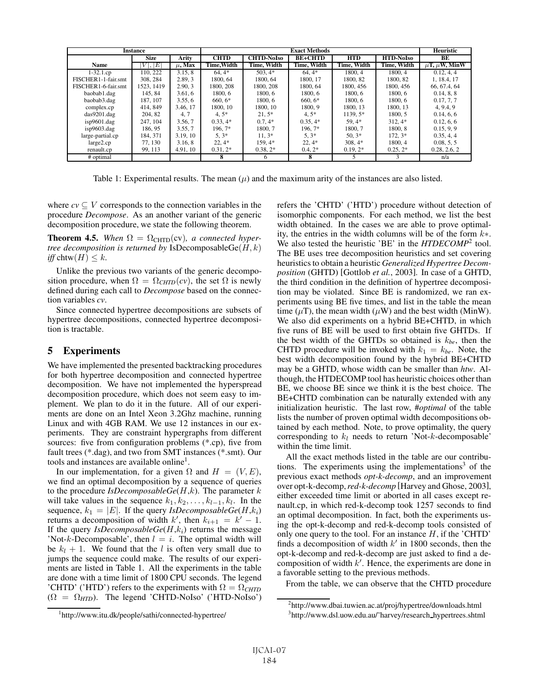| <b>Instance</b>     |             |             | <b>Exact Methods</b> |                   |                |             |                  | Heuristic              |
|---------------------|-------------|-------------|----------------------|-------------------|----------------|-------------|------------------|------------------------|
|                     | <b>Size</b> | Arity       | <b>CHTD</b>          | <b>CHTD-NoIso</b> | <b>BE+CHTD</b> | <b>HTD</b>  | <b>HTD-NoIso</b> | BE                     |
| Name                | . E <br>V   | $\mu$ , Max | Time, Width          | Time, Width       | Time, Width    | Time, Width | Time, Width      | $\mu$ T, $\mu$ W, MinW |
| $1-32.1cp$          | 110, 222    | 3.15.8      | $64.4*$              | $503.4*$          | $64.4*$        | 1800.4      | 1800.4           | 0.12, 4, 4             |
| FISCHER1-1-fair.smt | 308, 284    | 2.89.3      | 1800.64              | 1800.64           | 1800, 17       | 1800.82     | 1800, 82         | 1, 18.4, 17            |
| FISCHER1-6-fair.smt | 1523, 1419  | 2.90.3      | 1800, 208            | 1800, 208         | 1800.64        | 1800, 456   | 1800, 456        | 66, 67.4, 64           |
| baobab1.dag         | 145.84      | 3.61.6      | 1800.6               | 1800.6            | 1800.6         | 1800.6      | 1800.6           | 0.14, 8, 8             |
| baobab3.dag         | 187, 107    | 3.55.6      | $660,6*$             | 1800.6            | $660, 6*$      | 1800.6      | 1800.6           | 0.17, 7, 7             |
| complex.cp          | 414, 849    | 3.46, 17    | 1800, 10             | 1800, 10          | 1800.9         | 1800.13     | 1800, 13         | 4, 9.4, 9              |
| das9201 daq         | 204.82      | 4, 7        | $4.5*$               | $21.5*$           | $4.5*$         | 1139.5*     | 1800.5           | 0.14, 6, 6             |
| isp9601.dag         | 247, 104    | 3.56.7      | $0.33.4*$            | $0.7.4*$          | $0.35, 4*$     | 59.4*       | $312.4*$         | 0.12, 6, 6             |
| isp9603.dag         | 186.95      | 3.55, 7     | 196.7*               | 1800.7            | 196.7*         | 1800.7      | 1800.8           | 0.15, 9, 9             |
| large-partial.cp    | 184, 371    | 3.19, 10    | $5, 3*$              | $11.3*$           | $5,3*$         | $50.3*$     | $172.3*$         | 0.35, 4, 4             |
| large 2.cp          | 77.130      | 3.16.8      | $22.4*$              | 159.4*            | $22.4*$        | $308,4*$    | 1800.4           | 0.08, 5, 5             |
| renault.cp          | 99.113      | 4.91, 10    | $0.31, 2*$           | $0.38, 2*$        | $0.4.2*$       | $0.19.2*$   | $0.25.2*$        | 0.28, 2.6, 2           |
| # optimal           |             |             | 8                    | 6                 | 8              |             |                  | n/a                    |

Table 1: Experimental results. The mean  $(\mu)$  and the maximum arity of the instances are also listed.

where  $c\mathbf{v} \subset V$  corresponds to the connection variables in the procedure *Decompose*. As an another variant of the generic decomposition procedure, we state the following theorem.

**Theorem 4.5.** When  $\Omega = \Omega_{\text{CHTD}}(cv)$ , a connected hyper*tree decomposition is returned by IsDecomposable*  $Ge(H, k)$ *iff* chtw $(H) \leq k$ .

Unlike the previous two variants of the generic decomposition procedure, when  $\Omega = \Omega_{CHTD}(cv)$ , the set  $\Omega$  is newly defined during each call to *Decompose* based on the connection variables cv.

Since connected hypertree decompositions are subsets of hypertree decompositions, connected hypertree decomposition is tractable.

#### 5 **Experiments**

We have implemented the presented backtracking procedures for both hypertree decomposition and connected hypertree decomposition. We have not implemented the hyperspread decomposition procedure, which does not seem easy to implement. We plan to do it in the future. All of our experiments are done on an Intel Xeon 3.2Ghz machine, running Linux and with 4GB RAM. We use 12 instances in our experiments. They are constraint hypergraphs from different sources: five from configuration problems  $(*.cp)$ , five from fault trees (\*.dag), and two from SMT instances (\*.smt). Our tools and instances are available online<sup>1</sup>.

In our implementation, for a given  $\Omega$  and  $H = (V, E)$ , we find an optimal decomposition by a sequence of queries to the procedure *IsDecomposableGe(H,k)*. The parameter  $k$ will take values in the sequence  $k_1, k_2, \ldots, k_{l-1}, k_l$ . In the sequence,  $k_1 = |E|$ . If the query *IsDecomposableGe(H,k<sub>i</sub>*) returns a decomposition of width k', then  $k_{i+1} = k' - 1$ . If the query  $IsDecomposableGe(H, k_i)$  returns the message 'Not-k-Decomposable', then  $l = i$ . The optimal width will be  $k_l + 1$ . We found that the l is often very small due to jumps the sequence could make. The results of our experiments are listed in Table 1. All the experiments in the table are done with a time limit of 1800 CPU seconds. The legend 'CHTD' ('HTD') refers to the experiments with  $\Omega = \Omega_{CHTD}$  $(\Omega = \Omega_{HTD})$ . The legend 'CHTD-NoIso' ('HTD-NoIso') refers the 'CHTD' ('HTD') procedure without detection of isomorphic components. For each method, we list the best width obtained. In the cases we are able to prove optimality, the entries in the width columns will be of the form  $k*$ . We also tested the heuristic 'BE' in the  $HTDECOMP^2$  tool. The BE uses tree decomposition heuristics and set covering heuristics to obtain a heuristic Generalized Hypertree Decomposition (GHTD) [Gottlob et al., 2003]. In case of a GHTD, the third condition in the definition of hypertree decomposition may be violated. Since BE is randomized, we ran experiments using BE five times, and list in the table the mean time ( $\mu$ T), the mean width ( $\mu$ W) and the best width (MinW). We also did experiments on a hybrid BE+CHTD, in which five runs of BE will be used to first obtain five GHTDs. If the best width of the GHTDs so obtained is  $k_{be}$ , then the CHTD procedure will be invoked with  $k_1 = k_{be}$ . Note, the best width decomposition found by the hybrid BE+CHTD may be a GHTD, whose width can be smaller than htw. Although, the HTDECOMP tool has heuristic choices other than BE, we choose BE since we think it is the best choice. The BE+CHTD combination can be naturally extended with any initialization heuristic. The last row, #optimal of the table lists the number of proven optimal width decompositions obtained by each method. Note, to prove optimality, the query corresponding to  $k_l$  needs to return 'Not-k-decomposable' within the time limit.

All the exact methods listed in the table are our contributions. The experiments using the implementations<sup>3</sup> of the previous exact methods *opt-k-decomp*, and an improvement over opt-k-decomp, red-k-decomp [Harvey and Ghose, 2003], either exceeded time limit or aborted in all cases except renault.cp, in which red-k-decomp took 1257 seconds to find an optimal decomposition. In fact, both the experiments using the opt-k-decomp and red-k-decomp tools consisted of only one query to the tool. For an instance  $H$ , if the 'CHTD' finds a decomposition of width  $k'$  in 1800 seconds, then the opt-k-decomp and red-k-decomp are just asked to find a decomposition of width  $k'$ . Hence, the experiments are done in a favorable setting to the previous methods.

From the table, we can observe that the CHTD procedure

<sup>&</sup>lt;sup>1</sup>http://www.itu.dk/people/sathi/connected-hypertree/

<sup>&</sup>lt;sup>2</sup>http://www.dbai.tuwien.ac.at/proj/hypertree/downloads.html

<sup>&</sup>lt;sup>3</sup>http://www.dsl.uow.edu.au/~harvey/research\_hypertrees.shtml